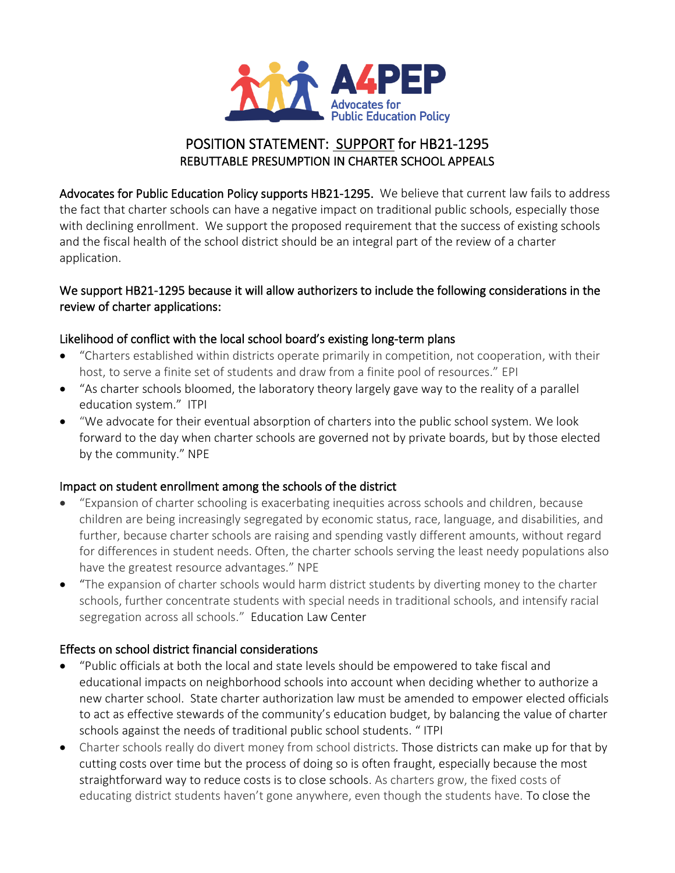

# POSITION STATEMENT: SUPPORT for HB21-1295 REBUTTABLE PRESUMPTION IN CHARTER SCHOOL APPEALS

Advocates for Public Education Policy supports HB21-1295. We believe that current law fails to address the fact that charter schools can have a negative impact on traditional public schools, especially those with declining enrollment. We support the proposed requirement that the success of existing schools and the fiscal health of the school district should be an integral part of the review of a charter application.

#### We support HB21-1295 because it will allow authorizers to include the following considerations in the review of charter applications:

## Likelihood of conflict with the local school board's existing long-term plans

- "Charters established within districts operate primarily in competition, not cooperation, with their host, to serve a finite set of students and draw from a finite pool of resources." EPI
- "As charter schools bloomed, the laboratory theory largely gave way to the reality of a parallel education system." ITPI
- "We advocate for their eventual absorption of charters into the public school system. We look forward to the day when charter schools are governed not by private boards, but by those elected by the community." NPE

#### Impact on student enrollment among the schools of the district

- "Expansion of charter schooling is exacerbating inequities across schools and children, because children are being increasingly segregated by economic status, race, language, and disabilities, and further, because charter schools are raising and spending vastly different amounts, without regard for differences in student needs. Often, the charter schools serving the least needy populations also have the greatest resource advantages." NPE
- "The expansion of charter schools would harm district students by diverting money to the charter schools, further concentrate students with special needs in traditional schools, and intensify racial segregation across all schools." Education Law Center

## Effects on school district financial considerations

- "Public officials at both the local and state levels should be empowered to take fiscal and educational impacts on neighborhood schools into account when deciding whether to authorize a new charter school. State charter authorization law must be amended to empower elected officials to act as effective stewards of the community's education budget, by balancing the value of charter schools against the needs of traditional public school students. " ITPI
- Charter schools really do divert money from school districts. Those districts can make up for that by cutting costs over time but the process of doing so is often fraught, especially because the most straightforward way to reduce costs is to close schools. As charters grow, the fixed costs of educating district students haven't gone anywhere, even though the students have. To close the